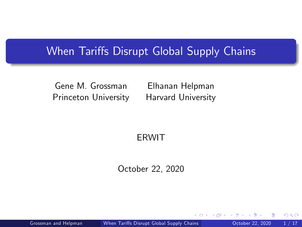### When Tariffs Disrupt Global Supply Chains

Gene M. Grossman Princeton University

Elhanan Helpman Harvard University

#### <span id="page-0-0"></span>ERWIT

October 22, 2020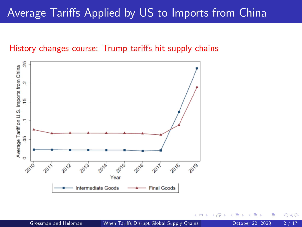## Average Tariffs Applied by US to Imports from China

#### History changes course: Trump tariffs hit supply chains

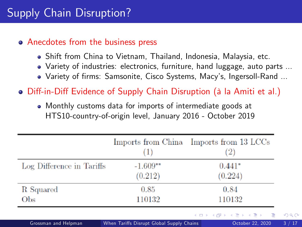#### • Anecdotes from the business press

- Shift from China to Vietnam, Thailand, Indonesia, Malaysia, etc.
- Variety of industries: electronics, furniture, hand luggage, auto parts ...
- Variety of firms: Samsonite, Cisco Systems, Macy's, Ingersoll-Rand ...

• Diff-in-Diff Evidence of Supply Chain Disruption (à la Amiti et al.)

Monthly customs data for imports of intermediate goods at HTS10-country-of-origin level, January 2016 - October 2019

|                           | (II        | Imports from China Imports from 13 LCCs<br>$^{(2)}$ |
|---------------------------|------------|-----------------------------------------------------|
| Log Difference in Tariffs | $-1.609**$ | $0.441*$                                            |
|                           | (0.212)    | (0.224)                                             |
| R Squared                 | 0.85       | 0.84                                                |
| Obs                       | 110132     | 110132                                              |
|                           |            | イロト イ押 トイヨ トイヨ トーヨ                                  |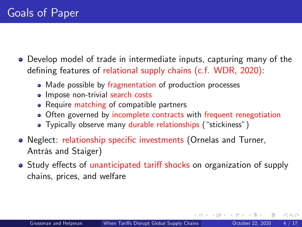- Develop model of trade in intermediate inputs, capturing many of the defining features of relational supply chains  $(c.f. WDR, 2020)$ :
	- Made possible by fragmentation of production processes
	- Impose non-trivial search costs
	- Require matching of compatible partners
	- Often governed by incomplete contracts with frequent renegotiation
	- · Typically observe many durable relationships ("stickiness")
- Neglect: relationship specific investments (Ornelas and Turner, Antràs and Staiger)
- Study effects of unanticipated tariff shocks on organization of supply chains, prices, and welfare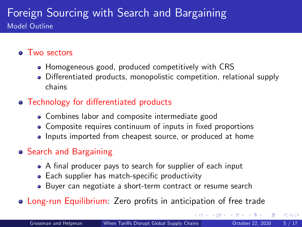### Foreign Sourcing with Search and Bargaining Model Outline

#### • Two sectors

- Homogeneous good, produced competitively with CRS
- Differentiated products, monopolistic competition, relational supply chains

#### • Technology for differentiated products

- Combines labor and composite intermediate good
- Composite requires continuum of inputs in fixed proportions
- Inputs imported from cheapest source, or produced at home

#### Search and Bargaining

- A final producer pays to search for supplier of each input
- Each supplier has match-specific productivity
- Buyer can negotiate a short-term contract or resume search
- Long-run Equilibrium: Zero profits in anticipation of free trade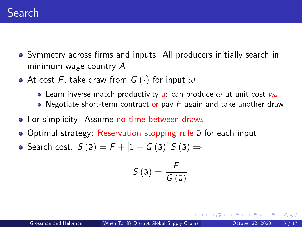- Symmetry across firms and inputs: All producers initially search in minimum wage country A
- At cost F, take draw from  $G(\cdot)$  for input  $\omega$ 
	- Learn inverse match productivity a: can produce *ω* at unit cost wa
	- Negotiate short-term contract or pay  $F$  again and take another draw
- **•** For simplicity: Assume no time between draws
- Optimal strategy: Reservation stopping rule a for each input
- Search cost:  $S(\bar{a}) = F + [1 G(\bar{a})] S(\bar{a}) \Rightarrow$

$$
S\left(\bar{a}\right)=\frac{F}{G\left(\bar{a}\right)}
$$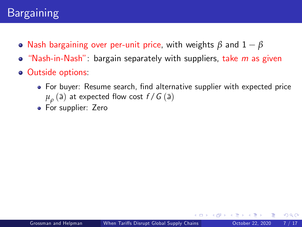# Bargaining

- Nash bargaining over per-unit price, with weights  $\beta$  and  $1 \beta$
- $\bullet$  "Nash-in-Nash": bargain separately with suppliers, take m as given
- Outside options:
	- For buyer: Resume search, find alternative supplier with expected price  $\mu_{\rho}^{}$  (ā) at expected flow cost  $f$  /  $G$  (ā)
	- For supplier: Zero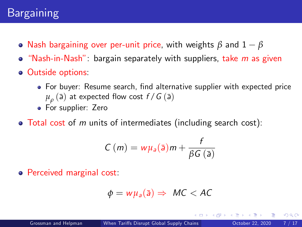- Nash bargaining over per-unit price, with weights *β* and 1 *β*
- $\bullet$  "Nash-in-Nash": bargain separately with suppliers, take m as given
- **o** Outside options:
	- For buyer: Resume search, find alternative supplier with expected price  $\mu_{\rho}^{}$  (ā) at expected flow cost  $f$  /  $G$  (ā)
	- For supplier: Zero
- $\bullet$  Total cost of m units of intermediates (including search cost):

$$
C(m) = w\mu_a(\bar{a})m + \frac{f}{\beta G(\bar{a})}
$$

Perceived marginal cost:

$$
\phi = w\mu_a(\bar{a}) \Rightarrow MC < AC
$$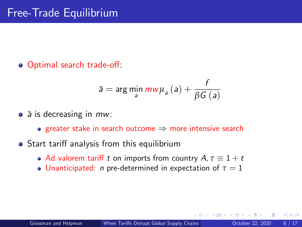o Optimal search trade-off:

$$
\bar{\mathsf{a}} = \arg\min_{\mathsf{a}}\textit{mw}\mu_{\mathsf{a}}\left(\mathsf{a}\right) + \frac{f}{\beta G\left(\mathsf{a}\right)}
$$

- $\bullet$   $\bar{a}$  is decreasing in  $mw$ :
	- **•** greater stake in search outcome  $\Rightarrow$  more intensive search
- Start tariff analysis from this equilibrium
	- Ad valorem tariff t on imports from country  $A, \tau \equiv 1 + t$
	- **Unanticipated:** *n* pre-determined in expectation of  $\tau = 1$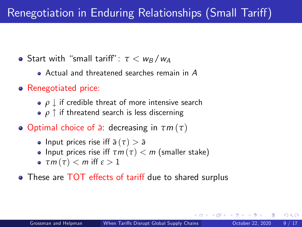# Renegotiation in Enduring Relationships (Small Tariff)

- **•** Start with "small tariff":  $\tau < w_R/w_A$ 
	- Actual and threatened searches remain in A
- **•** Renegotiated price:
	- $\rho \downarrow$  if credible threat of more intensive search
	- $\rho \uparrow$  if threatend search is less discerning
- Optimal choice of a¯: decreasing in *τ*m (*τ*)
	- **•** Input prices rise iff  $\bar{a}(\tau) > \bar{a}$
	- **•** Input prices rise iff  $\tau m(\tau) < m$  (smaller stake)
	- $\bullet$   $\tau m(\tau) < m$  iff  $\varepsilon > 1$
- These are TOT effects of tariff due to shared surplus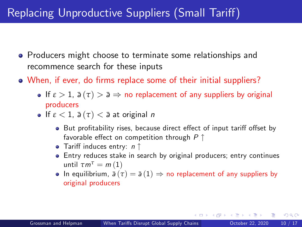# Replacing Unproductive Suppliers (Small Tariff)

- **•** Producers might choose to terminate some relationships and recommence search for these inputs
- When, if ever, do firms replace some of their initial suppliers?
	- **If**  $\varepsilon > 1$ ,  $\bar{a}(\tau) > \bar{a} \Rightarrow$  no replacement of any suppliers by original producers
	- **If**  $\varepsilon$  < 1,  $\bar{a}(\tau)$  <  $\bar{a}$  at original n
		- But profitability rises, because direct effect of input tariff offset by favorable effect on competition through  $P \uparrow$
		- Tariff induces entry:  $n \uparrow$
		- Entry reduces stake in search by original producers; entry continues until  $\tau m^{\tau} = m(1)$
		- **•** In equilibrium,  $\bar{a}(\tau) = \bar{a}(1) \Rightarrow$  no replacement of any suppliers by original producers

 $QQ$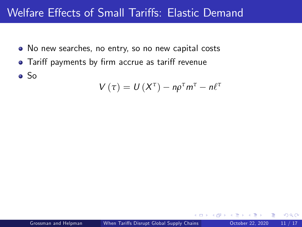## Welfare Effects of Small Tariffs: Elastic Demand

- No new searches, no entry, so no new capital costs
- Tariff payments by firm accrue as tariff revenue
- So

$$
V(\tau) = U(X^{\tau}) - n\rho^{\tau}m^{\tau} - n\ell^{\tau}
$$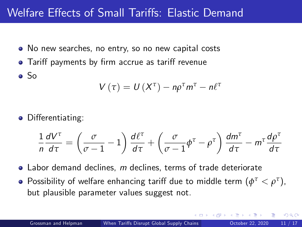## Welfare Effects of Small Tariffs: Elastic Demand

- No new searches, no entry, so no new capital costs
- Tariff payments by firm accrue as tariff revenue
- So

$$
V(\tau) = U(X^{\tau}) - n\rho^{\tau}m^{\tau} - n\ell^{\tau}
$$

• Differentiating:

$$
\frac{1}{n}\frac{dV^{\tau}}{d\tau} = \left(\frac{\sigma}{\sigma - 1} - 1\right)\frac{d\ell^{\tau}}{d\tau} + \left(\frac{\sigma}{\sigma - 1}\phi^{\tau} - \rho^{\tau}\right)\frac{dm^{\tau}}{d\tau} - m^{\tau}\frac{d\rho^{\tau}}{d\tau}
$$

- Labor demand declines, m declines, terms of trade deteriorate
- Possibility of welfare enhancing tariff due to middle term  $(\phi^\tau<\rho^\tau),$ but plausible parameter values suggest not.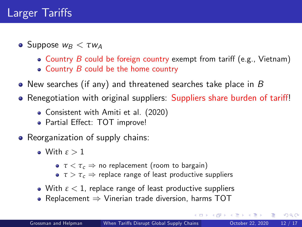# Larger Tariffs

- **o** Suppose  $w_B < \tau w_A$ 
	- Country  $B$  could be foreign country exempt from tariff (e.g., Vietnam)
	- $\bullet$  Country B could be the home country
- New searches (if any) and threatened searches take place in B
- Renegotiation with original suppliers: Suppliers share burden of tariff!
	- Consistent with Amiti et al. (2020)
	- Partial Effect: TOT improve!
- Reorganization of supply chains:
	- With *ε* > 1
		- **•** *τ* < *τ*<sub>c</sub> ⇒ no replacement (room to bargain)
		- $\sigma \tau > \tau_c$   $\Rightarrow$  replace range of least productive suppliers
	- With *ε* < 1, replace range of least productive suppliers
	- Replacement  $\Rightarrow$  Vinerian trade diversion, harms TOT

 $QQ$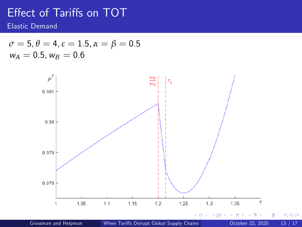## Effect of Tariffs on TOT

Elastic Demand

$$
\begin{array}{l} \n\sigma = 5, \theta = 4, \varepsilon = 1.5, \alpha = \beta = 0.5\\ \n\omega_A = 0.5, \omega_B = 0.6\n\end{array}
$$



Grossman and Helpman (X) When Tariffs Disrupt Global Supply Chains (Carl October 22, 2020 13 / 17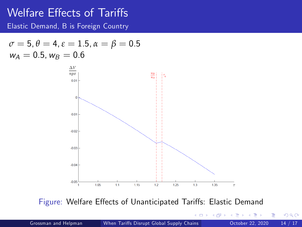### Welfare Effects of Tariffs

Elastic Demand, B is Foreign Country

$$
\begin{array}{l} \sigma=5, \theta=4, \varepsilon=1.5, \alpha=\beta=0.5 \\ w_A=0.5, w_B=0.6 \end{array}
$$



Figure: Welfare Effects of Unanticipated Tariffs: Elastic Demand

 $\Box$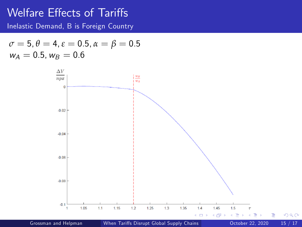### Welfare Effects of Tariffs

Inelastic Demand, B is Foreign Country

$$
\begin{array}{l} \sigma=5, \theta=4, \varepsilon=0.5, \alpha=\beta=0.5 \\ w_A=0.5, w_B=0.6 \end{array}
$$

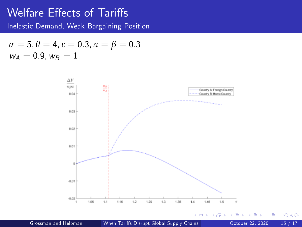### Welfare Effects of Tariffs

Inelastic Demand, Weak Bargaining Position

$$
\sigma = 5, \theta = 4, \varepsilon = 0.3, \alpha = \beta = 0.3
$$
  

$$
w_A = 0.9, w_B = 1
$$



Þ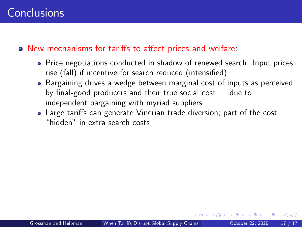#### • New mechanisms for tariffs to affect prices and welfare:

- Price negotiations conducted in shadow of renewed search. Input prices rise (fall) if incentive for search reduced (intensified)
- Bargaining drives a wedge between marginal cost of inputs as perceived by final-good producers and their true social cost  $-$  due to independent bargaining with myriad suppliers
- Large tariffs can generate Vinerian trade diversion; part of the cost ìhiddenî in extra search costs